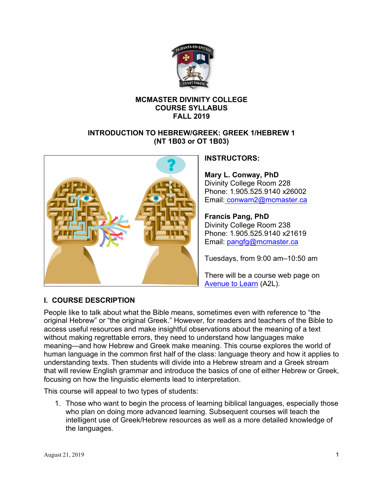

## **MCMASTER DIVINITY COLLEGE COURSE SYLLABUS FALL 2019**

## **INTRODUCTION TO HEBREW/GREEK: GREEK 1/HEBREW 1 (NT 1B03 or OT 1B03)**



## **INSTRUCTORS:**

**Mary L. Conway, PhD** Divinity College Room 228 Phone: 1.905.525.9140 x26002 Email: conwam2@mcmaster.ca

## **Francis Pang, PhD**

Divinity College Room 238 Phone: 1.905.525.9140 x21619 Email: pangfg@mcmaster.ca

Tuesdays, from 9:00 am–10:50 am

There will be a course web page on Avenue to Learn (A2L).

## **I. COURSE DESCRIPTION**

People like to talk about what the Bible means, sometimes even with reference to "the original Hebrew" or "the original Greek." However, for readers and teachers of the Bible to access useful resources and make insightful observations about the meaning of a text without making regrettable errors, they need to understand how languages make meaning—and how Hebrew and Greek make meaning. This course explores the world of human language in the common first half of the class: language theory and how it applies to understanding texts. Then students will divide into a Hebrew stream and a Greek stream that will review English grammar and introduce the basics of one of either Hebrew or Greek, focusing on how the linguistic elements lead to interpretation.

This course will appeal to two types of students:

1. Those who want to begin the process of learning biblical languages, especially those who plan on doing more advanced learning. Subsequent courses will teach the intelligent use of Greek/Hebrew resources as well as a more detailed knowledge of the languages.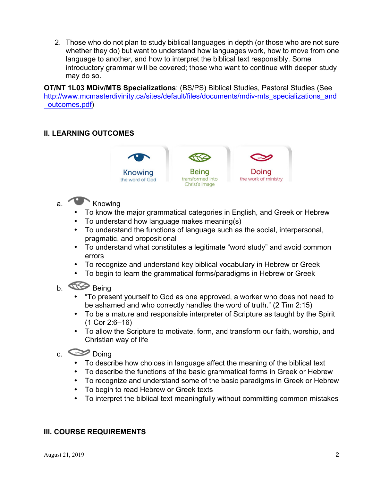2. Those who do not plan to study biblical languages in depth (or those who are not sure whether they do) but want to understand how languages work, how to move from one language to another, and how to interpret the biblical text responsibly. Some introductory grammar will be covered; those who want to continue with deeper study may do so.

**OT/NT 1L03 MDiv/MTS Specializations**: (BS/PS) Biblical Studies, Pastoral Studies (See http://www.mcmasterdivinity.ca/sites/default/files/documents/mdiv-mts\_specializations\_and \_outcomes.pdf)

## **II. LEARNING OUTCOMES**



- a. Knowing
	- To know the major grammatical categories in English, and Greek or Hebrew
	- To understand how language makes meaning(s)
	- To understand the functions of language such as the social, interpersonal, pragmatic, and propositional
	- To understand what constitutes a legitimate "word study" and avoid common errors
	- To recognize and understand key biblical vocabulary in Hebrew or Greek
	- To begin to learn the grammatical forms/paradigms in Hebrew or Greek

# b. **Being**

- "To present yourself to God as one approved, a worker who does not need to be ashamed and who correctly handles the word of truth." (2 Tim 2:15)
- To be a mature and responsible interpreter of Scripture as taught by the Spirit (1 Cor 2:6–16)
- To allow the Scripture to motivate, form, and transform our faith, worship, and Christian way of life

## c.  $\approx$  Doing

- To describe how choices in language affect the meaning of the biblical text
- To describe the functions of the basic grammatical forms in Greek or Hebrew
- To recognize and understand some of the basic paradigms in Greek or Hebrew
- To begin to read Hebrew or Greek texts
- To interpret the biblical text meaningfully without committing common mistakes

## **III. COURSE REQUIREMENTS**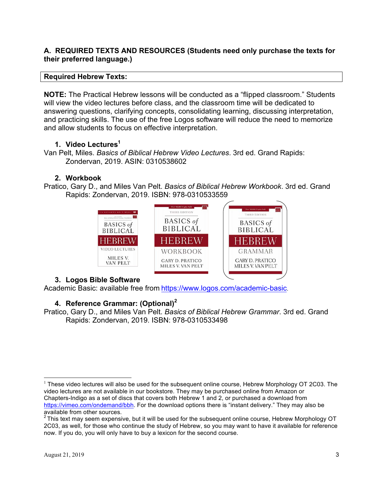## **A. REQUIRED TEXTS AND RESOURCES (Students need only purchase the texts for their preferred language.)**

#### **Required Hebrew Texts:**

**NOTE:** The Practical Hebrew lessons will be conducted as a "flipped classroom." Students will view the video lectures before class, and the classroom time will be dedicated to answering questions, clarifying concepts, consolidating learning, discussing interpretation, and practicing skills. The use of the free Logos software will reduce the need to memorize and allow students to focus on effective interpretation.

## **1. Video Lectures1**

Van Pelt, Miles. *Basics of Biblical Hebrew Video Lectures*. 3rd ed. Grand Rapids: Zondervan, 2019. ASIN: 0310538602

## **2. Workbook**

Pratico, Gary D., and Miles Van Pelt. *Basics of Biblical Hebrew Workbook*. 3rd ed. Grand Rapids: Zondervan, 2019. ISBN: 978-0310533559



## **3. Logos Bible Software**

Academic Basic: available free from https://www.logos.com/academic-basic.

## **4. Reference Grammar: (Optional)<sup>2</sup>**

Pratico, Gary D., and Miles Van Pelt. *Basics of Biblical Hebrew Grammar*. 3rd ed. Grand Rapids: Zondervan, 2019. ISBN: 978-0310533498

<sup>&</sup>lt;sup>1</sup> These video lectures will also be used for the subsequent online course, Hebrew Morphology OT 2C03. The video lectures are not available in our bookstore. They may be purchased online from Amazon or Chapters-Indigo as a set of discs that covers both Hebrew 1 and 2, or purchased a download from https://vimeo.com/ondemand/bbh. For the download options there is "instant delivery." They may also be available from other sources.

 $2$  This text may seem expensive, but it will be used for the subsequent online course, Hebrew Morphology OT 2C03, as well, for those who continue the study of Hebrew, so you may want to have it available for reference now. If you do, you will only have to buy a lexicon for the second course.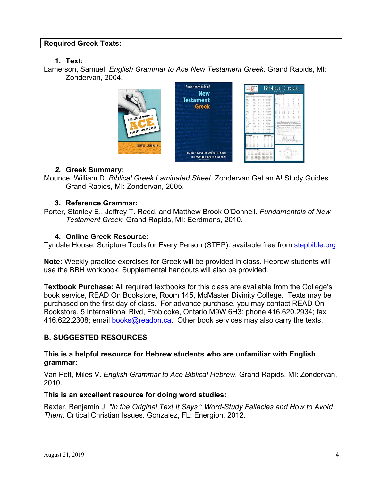#### **Required Greek Texts:**

#### **1. Text:**

Lamerson, Samuel. *English Grammar to Ace New Testament Greek.* Grand Rapids, MI: Zondervan, 2004.



#### *2.* **Greek Summary:**

Mounce, William D. *Biblical Greek Laminated Sheet.* Zondervan Get an A! Study Guides. Grand Rapids, MI: Zondervan, 2005.

#### **3. Reference Grammar:**

Porter, Stanley E., Jeffrey T. Reed, and Matthew Brook O'Donnell. *Fundamentals of New Testament Greek.* Grand Rapids, MI: Eerdmans, 2010.

#### **4. Online Greek Resource:**

Tyndale House: Scripture Tools for Every Person (STEP): available free from stepbible.org

**Note:** Weekly practice exercises for Greek will be provided in class. Hebrew students will use the BBH workbook. Supplemental handouts will also be provided.

**Textbook Purchase:** All required textbooks for this class are available from the College's book service, READ On Bookstore, Room 145, McMaster Divinity College. Texts may be purchased on the first day of class. For advance purchase, you may contact READ On Bookstore, 5 International Blvd, Etobicoke, Ontario M9W 6H3: phone 416.620.2934; fax 416.622.2308; email books@readon.ca. Other book services may also carry the texts.

#### **B. SUGGESTED RESOURCES**

#### **This is a helpful resource for Hebrew students who are unfamiliar with English grammar:**

Van Pelt, Miles V. *English Grammar to Ace Biblical Hebrew.* Grand Rapids, MI: Zondervan, 2010.

#### **This is an excellent resource for doing word studies:**

Baxter, Benjamin J. *"In the Original Text It Says": Word-Study Fallacies and How to Avoid Them*. Critical Christian Issues. Gonzalez, FL: Energion, 2012.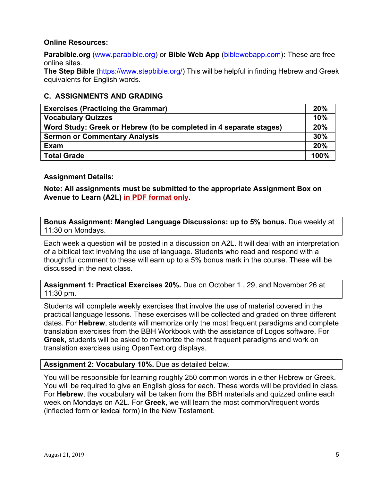## **Online Resources:**

**Parabible.org** (www.parabible.org) or **Bible Web App** (biblewebapp.com)**:** These are free online sites.

**The Step Bible** (https://www.stepbible.org/) This will be helpful in finding Hebrew and Greek equivalents for English words.

## **C. ASSIGNMENTS AND GRADING**

| <b>Exercises (Practicing the Grammar)</b>                          | 20%  |
|--------------------------------------------------------------------|------|
| <b>Vocabulary Quizzes</b>                                          | 10%  |
| Word Study: Greek or Hebrew (to be completed in 4 separate stages) | 20%  |
| <b>Sermon or Commentary Analysis</b>                               | 30%  |
| Exam                                                               | 20%  |
| <b>Total Grade</b>                                                 | 100% |

#### **Assignment Details:**

**Note: All assignments must be submitted to the appropriate Assignment Box on Avenue to Learn (A2L) in PDF format only.**

**Bonus Assignment: Mangled Language Discussions: up to 5% bonus.** Due weekly at 11:30 on Mondays.

Each week a question will be posted in a discussion on A2L. It will deal with an interpretation of a biblical text involving the use of language. Students who read and respond with a thoughtful comment to these will earn up to a 5% bonus mark in the course. These will be discussed in the next class.

**Assignment 1: Practical Exercises 20%.** Due on October 1 , 29, and November 26 at 11:30 pm.

Students will complete weekly exercises that involve the use of material covered in the practical language lessons. These exercises will be collected and graded on three different dates. For **Hebrew**, students will memorize only the most frequent paradigms and complete translation exercises from the BBH Workbook with the assistance of Logos software. For **Greek,** students will be asked to memorize the most frequent paradigms and work on translation exercises using OpenText.org displays.

#### **Assignment 2: Vocabulary 10%.** Due as detailed below.

You will be responsible for learning roughly 250 common words in either Hebrew or Greek. You will be required to give an English gloss for each. These words will be provided in class. For **Hebrew**, the vocabulary will be taken from the BBH materials and quizzed online each week on Mondays on A2L. For **Greek**, we will learn the most common/frequent words (inflected form or lexical form) in the New Testament.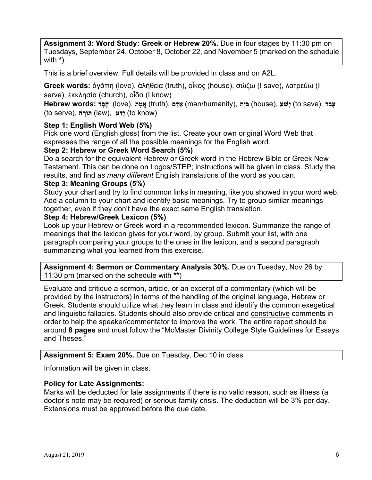**Assignment 3: Word Study: Greek or Hebrew 20%.** Due in four stages by 11:30 pm on Tuesdays, September 24, October 8, October 22, and November 5 (marked on the schedule with **\***).

This is a brief overview. Full details will be provided in class and on A2L.

**Greek words:** ἀγάπη (love), ἀλήθεια (truth), οἶκος (house), σώζω (I save), λατρεύω (I serve), ἐκκλησία (church), oἶδα (I know)

**Exave (100 kg) (io (100) (100 kg) (kuth), אֲמֶתּ (house), וּשׁעַר (to save), עָבַד** (fo save), אֵמֵה (**to serve**), *הוֹרה* (law), יִדע (to know)

## **Step 1: English Word Web (5%)**

Pick one word (English gloss) from the list. Create your own original Word Web that expresses the range of all the possible meanings for the English word.

## **Step 2: Hebrew or Greek Word Search (5%)**

Do a search for the equivalent Hebrew or Greek word in the Hebrew Bible or Greek New Testament. This can be done on Logos/STEP; instructions will be given in class. Study the results, and find *as many different* English translations of the word as you can.

#### **Step 3: Meaning Groups (5%)**

Study your chart and try to find common links in meaning, like you showed in your word web. Add a column to your chart and identify basic meanings. Try to group similar meanings together, even if they don't have the exact same English translation.

#### **Step 4: Hebrew/Greek Lexicon (5%)**

Look up your Hebrew or Greek word in a recommended lexicon. Summarize the range of meanings that the lexicon gives for your word, by group. Submit your list, with one paragraph comparing your groups to the ones in the lexicon, and a second paragraph summarizing what you learned from this exercise.

**Assignment 4: Sermon or Commentary Analysis 30%.** Due on Tuesday, Nov 26 by 11:30 pm (marked on the schedule with **\*\***)

Evaluate and critique a sermon, article, or an excerpt of a commentary (which will be provided by the instructors) in terms of the handling of the original language, Hebrew or Greek. Students should utilize what they learn in class and identify the common exegetical and linguistic fallacies. Students should also provide critical and constructive comments in order to help the speaker/commentator to improve the work. The entire report should be around **8 pages** and must follow the "McMaster Divinity College Style Guidelines for Essays and Theses."

#### **Assignment 5: Exam 20%.** Due on Tuesday, Dec 10 in class

Information will be given in class.

#### **Policy for Late Assignments:**

Marks will be deducted for late assignments if there is no valid reason, such as illness (a doctor's note may be required) or serious family crisis. The deduction will be 3% per day. Extensions must be approved before the due date.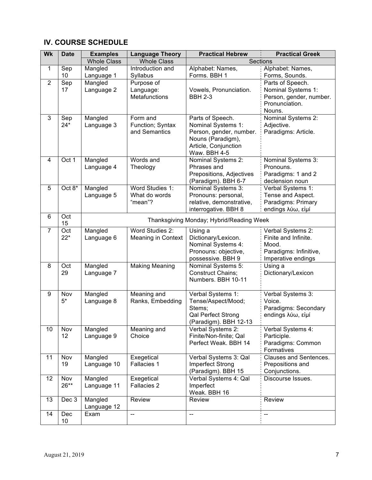## **IV. COURSE SCHEDULE**

| <b>Wk</b>      | <b>Date</b>  | <b>Examples</b>                          | <b>Language Theory</b>                          | <b>Practical Hebrew</b>                                                                                                        | <b>Practical Greek</b>                                                                             |  |
|----------------|--------------|------------------------------------------|-------------------------------------------------|--------------------------------------------------------------------------------------------------------------------------------|----------------------------------------------------------------------------------------------------|--|
|                |              | <b>Whole Class</b>                       | <b>Whole Class</b>                              | Sections                                                                                                                       |                                                                                                    |  |
| $\mathbf{1}$   | Sep<br>10    | Mangled<br>Language 1                    | Introduction and<br>Syllabus                    | Alphabet: Names,<br>Forms. BBH 1                                                                                               | Alphabet: Names,<br>Forms, Sounds.                                                                 |  |
| $\overline{2}$ | Sep<br>17    | Mangled<br>Language 2                    | Purpose of<br>Language:<br><b>Metafunctions</b> | Vowels, Pronunciation.<br><b>BBH 2-3</b>                                                                                       | Parts of Speech.<br>Nominal Systems 1:<br>Person, gender, number.<br>Pronunciation.<br>Nouns.      |  |
| 3              | Sep<br>$24*$ | Mangled<br>Language 3                    | Form and<br>Function; Syntax<br>and Semantics   | Parts of Speech.<br>Nominal Systems 1:<br>Person, gender, number.<br>Nouns (Paradigm),<br>Article, Conjunction<br>Waw. BBH 4-5 | Nominal Systems 2:<br>Adjective.<br>Paradigms: Article.                                            |  |
| 4              | Oct 1        | Mangled<br>Language 4                    | Words and<br>Theology                           | Nominal Systems 2:<br>Phrases and<br>Prepositions, Adjectives<br>(Paradigm). BBH 6-7                                           | Nominal Systems 3:<br>Pronouns.<br>Paradigms: 1 and 2<br>declension noun                           |  |
| 5              | Oct 8*       | Mangled<br>Language 5                    | Word Studies 1:<br>What do words<br>"mean"?     | Nominal Systems 3:<br>Pronouns: personal,<br>relative, demonstrative,<br>interrogative. BBH 8                                  | Verbal Systems 1:<br>Tense and Aspect.<br>Paradigms: Primary<br>endings λύω, είμί                  |  |
| 6              | Oct<br>15    | Thanksgiving Monday; Hybrid/Reading Week |                                                 |                                                                                                                                |                                                                                                    |  |
| $\overline{7}$ | Oct<br>$22*$ | Mangled<br>Language 6                    | Word Studies 2:<br><b>Meaning in Context</b>    | Using a<br>Dictionary/Lexicon.<br>Nominal Systems 4:<br>Pronouns: objective,<br>possessive. BBH 9                              | Verbal Systems 2:<br>Finite and Infinite.<br>Mood.<br>Paradigms: Infinitive,<br>Imperative endings |  |
| 8              | Oct<br>29    | Mangled<br>Language 7                    | <b>Making Meaning</b>                           | Nominal Systems 5:<br><b>Construct Chains:</b><br>Numbers. BBH 10-11                                                           | Using a<br>Dictionary/Lexicon                                                                      |  |
| 9              | Nov<br>$5*$  | Mangled<br>Language 8                    | Meaning and<br>Ranks, Embedding                 | Verbal Systems 1:<br>Tense/Aspect/Mood;<br>Stems;<br>Qal Perfect Strong<br>(Paradigm). BBH 12-13                               | Verbal Systems 3:<br>Voice.<br>Paradigms: Secondary<br>endings λύω, είμί                           |  |
| 10             | Nov<br>12    | Mangled<br>Language 9                    | Meaning and<br>Choice                           | Verbal Systems 2:<br>Finite/Non-finite; Qal<br>Perfect Weak. BBH 14                                                            | Verbal Systems 4:<br>Participle.<br>Paradigms: Common<br>Formatives                                |  |
| 11             | Nov<br>19    | Mangled<br>Language 10                   | Exegetical<br>Fallacies 1                       | Verbal Systems 3: Qal<br>Imperfect Strong<br>(Paradigm). BBH 15                                                                | <b>Clauses and Sentences.</b><br>Prepositions and<br>Conjunctions.                                 |  |
| 12             | Nov<br>26**  | Mangled<br>Language 11                   | Exegetical<br>Fallacies 2                       | Verbal Systems 4: Qal<br>Imperfect<br>Weak. BBH 16                                                                             | Discourse Issues.                                                                                  |  |
| 13             | Dec 3        | Mangled<br>Language 12                   | Review                                          | Review                                                                                                                         | Review                                                                                             |  |
| 14             | Dec<br>10    | Exam                                     |                                                 | --                                                                                                                             |                                                                                                    |  |